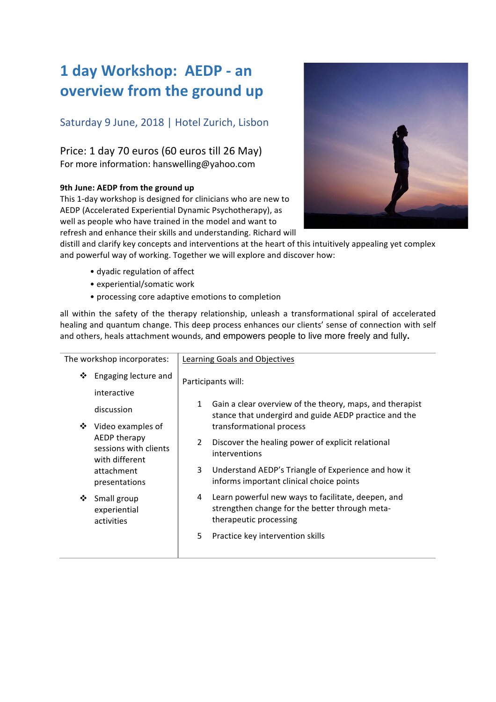# 1 day Workshop: AEDP - an **overview from the ground up**

## Saturday 9 June, 2018 | Hotel Zurich, Lisbon

Price: 1 day 70 euros (60 euros till 26 May) For more information: hanswelling@yahoo.com

### **9th June: AEDP from the ground up**

This 1-day workshop is designed for clinicians who are new to AEDP (Accelerated Experiential Dynamic Psychotherapy), as well as people who have trained in the model and want to refresh and enhance their skills and understanding. Richard will



distill and clarify key concepts and interventions at the heart of this intuitively appealing yet complex and powerful way of working. Together we will explore and discover how:

- dyadic regulation of affect
- experiential/somatic work
- processing core adaptive emotions to completion

all within the safety of the therapy relationship, unleash a transformational spiral of accelerated healing and quantum change. This deep process enhances our clients' sense of connection with self and others, heals attachment wounds, and empowers people to live more freely and fully.

| The workshop incorporates:                              | Learning Goals and Objectives                                                                                                       |
|---------------------------------------------------------|-------------------------------------------------------------------------------------------------------------------------------------|
| ❖<br>Engaging lecture and                               | Participants will:                                                                                                                  |
| interactive                                             |                                                                                                                                     |
| discussion                                              | Gain a clear overview of the theory, maps, and therapist<br>$\mathbf{1}$<br>stance that undergird and guide AEDP practice and the   |
| Video examples of<br>❖                                  | transformational process                                                                                                            |
| AEDP therapy<br>sessions with clients<br>with different | $\overline{2}$<br>Discover the healing power of explicit relational<br>interventions                                                |
| attachment<br>presentations                             | 3<br>Understand AEDP's Triangle of Experience and how it<br>informs important clinical choice points                                |
| Small group<br>❖<br>experiential<br>activities          | Learn powerful new ways to facilitate, deepen, and<br>4<br>strengthen change for the better through meta-<br>therapeutic processing |
|                                                         | 5.<br>Practice key intervention skills                                                                                              |